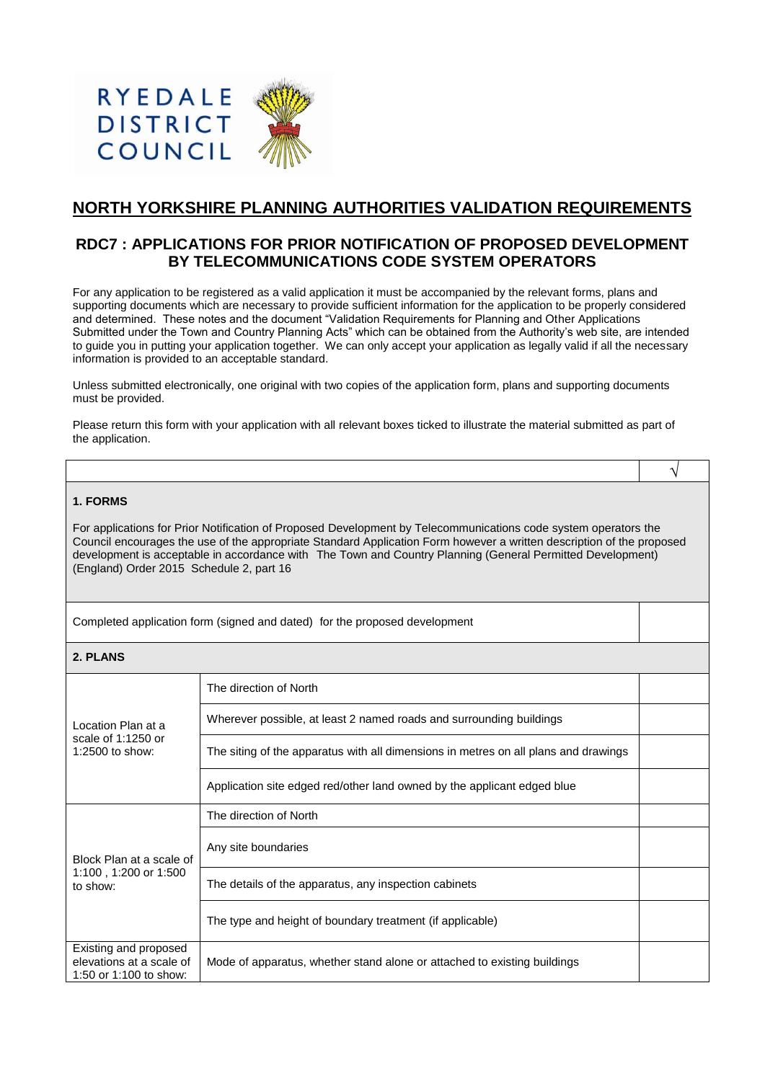

# **NORTH YORKSHIRE PLANNING AUTHORITIES VALIDATION REQUIREMENTS**

# **RDC7 : APPLICATIONS FOR PRIOR NOTIFICATION OF PROPOSED DEVELOPMENT BY TELECOMMUNICATIONS CODE SYSTEM OPERATORS**

For any application to be registered as a valid application it must be accompanied by the relevant forms, plans and supporting documents which are necessary to provide sufficient information for the application to be properly considered and determined. These notes and the document "Validation Requirements for Planning and Other Applications Submitted under the Town and Country Planning Acts" which can be obtained from the Authority's web site, are intended to guide you in putting your application together. We can only accept your application as legally valid if all the necessary information is provided to an acceptable standard.

Unless submitted electronically, one original with two copies of the application form, plans and supporting documents must be provided.

Please return this form with your application with all relevant boxes ticked to illustrate the material submitted as part of the application.

√

### **1. FORMS**

For applications for Prior Notification of Proposed Development by Telecommunications code system operators the Council encourages the use of the appropriate Standard Application Form however a written description of the proposed development is acceptable in accordance with The Town and Country Planning (General Permitted Development) (England) Order 2015 Schedule 2, part 16

Completed application form (signed and dated) for the proposed development

# **2. PLANS**

| Location Plan at a<br>scale of $1:1250$ or<br>1:2500 to show:               | The direction of North                                                              |  |
|-----------------------------------------------------------------------------|-------------------------------------------------------------------------------------|--|
|                                                                             | Wherever possible, at least 2 named roads and surrounding buildings                 |  |
|                                                                             | The siting of the apparatus with all dimensions in metres on all plans and drawings |  |
|                                                                             | Application site edged red/other land owned by the applicant edged blue             |  |
| Block Plan at a scale of<br>1:100, 1:200 or 1:500<br>to show:               | The direction of North                                                              |  |
|                                                                             | Any site boundaries                                                                 |  |
|                                                                             | The details of the apparatus, any inspection cabinets                               |  |
|                                                                             | The type and height of boundary treatment (if applicable)                           |  |
| Existing and proposed<br>elevations at a scale of<br>1:50 or 1:100 to show: | Mode of apparatus, whether stand alone or attached to existing buildings            |  |